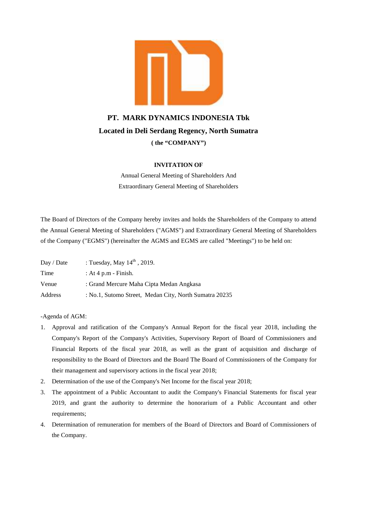

# **PT. MARK DYNAMICS INDONESIA Tbk PT. MARK DYNAMICS INDONESIA Tbk<br>Located in Deli Serdang Regency, North Sumatra ( the "COMPANY") (")**

# **INVITATION OF**

Annual General Meeting of Shareholders And Extraordinary General Meeting of Shareholders

The Board of Directors of the Company hereby invites and holds the Shareholders of the Company to attend the Annual General Meeting of Shareholders ("AGMS") and Extraordinary General Meeting of Shareholders of the Company ("EGMS") (hereinafter the AGMS and EGMS are called "Meetings") to be held on: Annual General Meeting of Shareholders And<br>Extraordinary General Meeting of Shareholders<br>The Board of Directors of the Company hereby invites and holds the Shareholders of the Comp<br>the Annual General Meeting of Shareholder

| Day / Date | : Tuesday, May $14^{\text{th}}$ , 2019.                |
|------------|--------------------------------------------------------|
| Time       | : At 4 p.m - Finish.                                   |
| Venue      | : Grand Mercure Maha Cipta Medan Angkasa               |
| Address    | : No.1, Sutomo Street, Medan City, North Sumatra 20235 |

-Agenda of AGM:

- 1. Approval and ratification of the Company's Annual Report for the fiscal year 2018, including the Company's Report of the Company's Activities, Supervisory Report of Board of Commissioners and Financial Reports of the fiscal year 2018, as well as the grant of acquisition and discharge of responsibility to the Board of Directors and the Board The Board of Commissioners of the Company for their management and supervisory actions in the fiscal year 2018; Day / Date : Tuesday, May  $14^{\text{m}}$ , 2019.<br>
Time : At 4 p.m - Finish.<br>
20219. Sutomo Street, Medan City, North Sumatra 20235<br>
20218. Address : No.1, Sutomo Street, Medan City, North Sumatra 20235<br>
20218. Approval and rat
- 2. Determination of the use of the Company's Net Income for the fiscal year 2018;
- 3. The appointment of a Public Accountant to audit the Company's Financial Statements for fiscal year 2019, and grant the authority to determine the honorarium of a Public Accountant and other requirements;
- 4. Determination of remuneration for members of the Board of Directors and Board of Commissioners of the Company.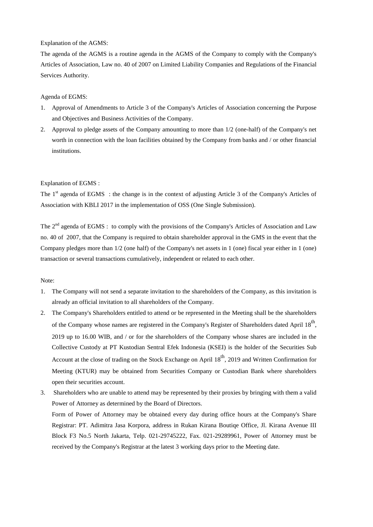### Explanation of the AGMS:

The agenda of the AGMS is a routine agenda in the AGMS of the Company to comply with the Company's Articles of Association, Law no. 40 of 2007 on Limited Liability Companies and Regulations of the Financial Services Authority.

### Agenda of EGMS:

- 1. Approval of Amendments to Article 3 of the Company's Articles of Association concerning the Purpose and Objectives and Business Activities of the Company.
- 2. Approval to pledge assets of the Company amounting to more than 1/2 (one-half) of the Company's net worth in connection with the loan facilities obtained by the Company from banks and / or other financial institutions.

## Explanation of EGMS :

The 1<sup>st</sup> agenda of EGMS : the change is in the context of adjusting Article 3 of the Company's Articles of Association with KBLI 2017 in the implementation of OSS (One Single Submission).

The 2<sup>nd</sup> agenda of EGMS : to comply with the provisions of the Company's Articles of Association and Law no. 40 of 2007, that the Company is required to obtain shareholder approval in the GMS in the event that the Company pledges more than 1/2 (one half) of the Company's net assets in 1 (one) fiscal year either in 1 (one) transaction or several transactions cumulatively, independent or related to each other.

#### Note:

- 1. The Company will not send a separate invitation to the shareholders of the Company, as this invitation is already an official invitation to all shareholders of the Company.
- 2. The Company's Shareholders entitled to attend or be represented in the Meeting shall be the shareholders of the Company whose names are registered in the Company's Register of Shareholders dated April  $18^{\text{th}}$ , 2019 up to 16.00 WIB, and / or for the shareholders of the Company whose shares are included in the Collective Custody at PT Kustodian Sentral Efek Indonesia (KSEI) is the holder of the Securities Sub Account at the close of trading on the Stock Exchange on April 18<sup>th</sup>, 2019 and Written Confirmation for Meeting (KTUR) may be obtained from Securities Company or Custodian Bank where shareholders open their securities account.
- 3. Shareholders who are unable to attend may be represented by their proxies by bringing with them a valid Power of Attorney as determined by the Board of Directors.

Form of Power of Attorney may be obtained every day during office hours at the Company's Share Registrar: PT. Adimitra Jasa Korpora, address in Rukan Kirana Boutiqe Office, Jl. Kirana Avenue III Block F3 No.5 North Jakarta, Telp. 021-29745222, Fax. 021-29289961, Power of Attorney must be received by the Company's Registrar at the latest 3 working days prior to the Meeting date.